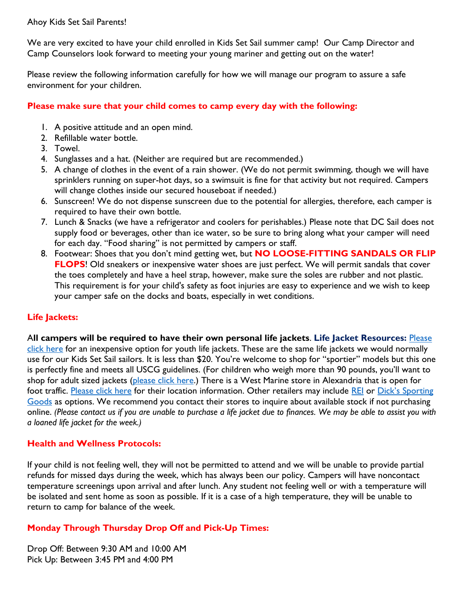Ahoy Kids Set Sail Parents!

We are very excited to have your child enrolled in Kids Set Sail summer camp! Our Camp Director and Camp Counselors look forward to meeting your young mariner and getting out on the water!

Please review the following information carefully for how we will manage our program to assure a safe environment for your children.

## **Please make sure that your child comes to camp every day with the following:**

- 1. A positive attitude and an open mind.
- 2. Refillable water bottle.
- 3. Towel.
- 4. Sunglasses and a hat. (Neither are required but are recommended.)
- 5. A change of clothes in the event of a rain shower. (We do not permit swimming, though we will have sprinklers running on super-hot days, so a swimsuit is fine for that activity but not required. Campers will change clothes inside our secured houseboat if needed.)
- 6. Sunscreen! We do not dispense sunscreen due to the potential for allergies, therefore, each camper is required to have their own bottle.
- 7. Lunch & Snacks (we have a refrigerator and coolers for perishables.) Please note that DC Sail does not supply food or beverages, other than ice water, so be sure to bring along what your camper will need for each day. "Food sharing" is not permitted by campers or staff.
- 8. Footwear: Shoes that you don't mind getting wet, but **NO LOOSE-FITTING SANDALS OR FLIP FLOPS!** Old sneakers or inexpensive water shoes are just perfect. We will permit sandals that cover the toes completely and have a heel strap, however, make sure the soles are rubber and not plastic. This requirement is for your child's safety as foot injuries are easy to experience and we wish to keep your camper safe on the docks and boats, especially in wet conditions.

# **Life Jackets:**

A**ll campers will be required to have their own personal life jackets**. **Life Jacket Resources:** [Please](https://www.westmarine.com/buy/west-marine--runabout-life-jacket-youth-50-90lb--14897284?recordNum=3)  [click here](https://www.westmarine.com/buy/west-marine--runabout-life-jacket-youth-50-90lb--14897284?recordNum=3) for an inexpensive option for youth life jackets. These are the same life jackets we would normally use for our Kids Set Sail sailors. It is less than \$20. You're welcome to shop for "sportier" models but this one is perfectly fine and meets all USCG guidelines. (For children who weigh more than 90 pounds, you'll want to shop for adult sized jackets [\(please click here.](https://www.westmarine.com/buy/west-marine--runabout-life-jacket-adult-30-52-chest--14897292)) There is a West Marine store in Alexandria that is open for foot traffic. [Please click here](https://www.westmarine.com/stores/alexandria-va-47) for their location information. Other retailers may include [REI](https://www.rei.com/c/pfds) or Dick's Sporting [Goods](https://www.dickssportinggoods.com/f/life-jackets) as options. We recommend you contact their stores to inquire about available stock if not purchasing online. *(Please contact us if you are unable to purchase a life jacket due to finances. We may be able to assist you with a loaned life jacket for the week.)*

# **Health and Wellness Protocols:**

If your child is not feeling well, they will not be permitted to attend and we will be unable to provide partial refunds for missed days during the week, which has always been our policy. Campers will have noncontact temperature screenings upon arrival and after lunch. Any student not feeling well or with a temperature will be isolated and sent home as soon as possible. If it is a case of a high temperature, they will be unable to return to camp for balance of the week.

# **Monday Through Thursday Drop Off and Pick-Up Times:**

Drop Off: Between 9:30 AM and 10:00 AM Pick Up: Between 3:45 PM and 4:00 PM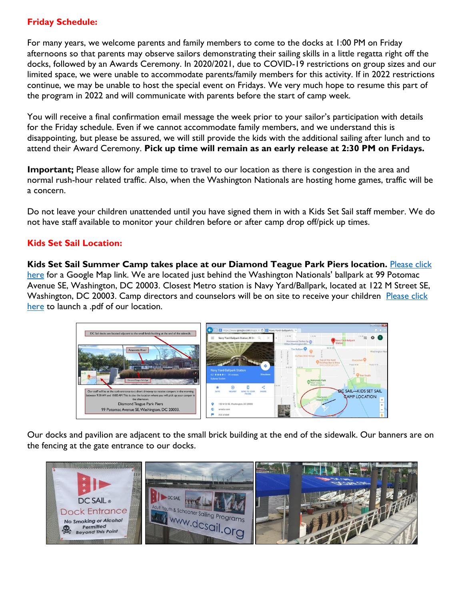# **Friday Schedule:**

For many years, we welcome parents and family members to come to the docks at 1:00 PM on Friday afternoons so that parents may observe sailors demonstrating their sailing skills in a little regatta right off the docks, followed by an Awards Ceremony. In 2020/2021, due to COVID-19 restrictions on group sizes and our limited space, we were unable to accommodate parents/family members for this activity. If in 2022 restrictions continue, we may be unable to host the special event on Fridays. We very much hope to resume this part of the program in 2022 and will communicate with parents before the start of camp week.

You will receive a final confirmation email message the week prior to your sailor's participation with details for the Friday schedule. Even if we cannot accommodate family members, and we understand this is disappointing, but please be assured, we will still provide the kids with the additional sailing after lunch and to attend their Award Ceremony. **Pick up time will remain as an early release at 2:30 PM on Fridays.**

**Important;** Please allow for ample time to travel to our location as there is congestion in the area and normal rush-hour related traffic. Also, when the Washington Nationals are hosting home games, traffic will be a concern.

Do not leave your children unattended until you have signed them in with a Kids Set Sail staff member. We do not have staff available to monitor your children before or after camp drop off/pick up times.

## **Kids Set Sail Location:**

**Kids Set Sail Summer Camp takes place at our Diamond Teague Park Piers location.** [Please click](https://goo.gl/maps/4smnTV4jCsACDcM8A)  [here](https://goo.gl/maps/4smnTV4jCsACDcM8A) for a Google Map link. We are located just behind the Washington Nationals' ballpark at 99 Potomac Avenue SE, Washington, DC 20003. Closest Metro station is Navy Yard/Ballpark, located at 122 M Street SE, Washington, DC 20003. Camp directors and counselors will be on site to receive your children Please click [here](file:///C:/Users/DC%20Sail/Dropbox/NMHF/Diamond%20Teague%20Park%20Piers/Drop%20Off%20and%20Pick%20Up%20for%20KSS%20at%20Diamond%20Teague%20Park%20Piers%202020.pdf) to launch a .pdf of our location.



Our docks and pavilion are adjacent to the small brick building at the end of the sidewalk. Our banners are on the fencing at the gate entrance to our docks.